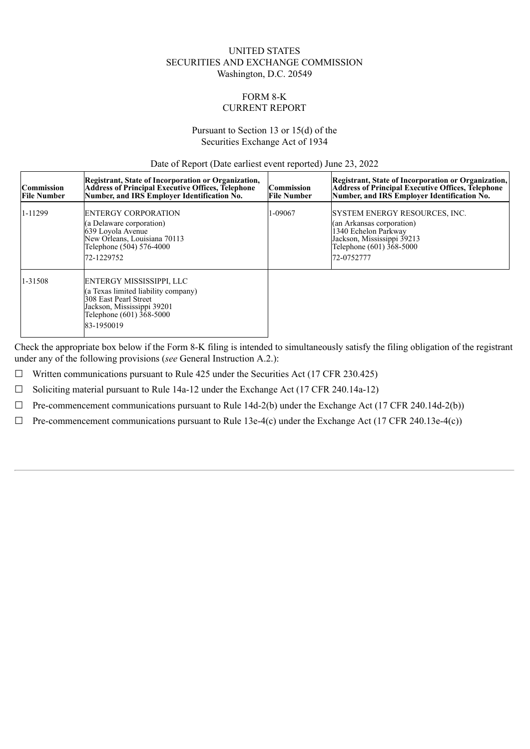## UNITED STATES SECURITIES AND EXCHANGE COMMISSION Washington, D.C. 20549

# FORM 8-K CURRENT REPORT

#### Pursuant to Section 13 or 15(d) of the Securities Exchange Act of 1934

Date of Report (Date earliest event reported) June 23, 2022

| <b>Commission</b><br><b>File Number</b> | Registrant, State of Incorporation or Organization,<br>Address of Principal Executive Offices, Telephone<br>Number, and IRS Employer Identification No.              | Commission<br><b>File Number</b> | Registrant, State of Incorporation or Organization,<br><b>Address of Principal Executive Offices, Telephone</b><br>Number, and IRS Employer Identification No.      |
|-----------------------------------------|----------------------------------------------------------------------------------------------------------------------------------------------------------------------|----------------------------------|---------------------------------------------------------------------------------------------------------------------------------------------------------------------|
| 1-11299                                 | <b>ENTERGY CORPORATION</b><br>(a Delaware corporation)<br>639 Loyola Avenue<br>New Orleans, Louisiana 70113<br>Telephone (504) 576-4000<br>72-1229752                | 1-09067                          | <b>SYSTEM ENERGY RESOURCES, INC.</b><br>(an Arkansas corporation)<br>1340 Echelon Parkway<br>Jackson, Mississippi 39213<br>Telephone $(601)$ 368-5000<br>72-0752777 |
| 1-31508                                 | ENTERGY MISSISSIPPI, LLC<br>(a Texas limited liability company)<br>308 East Pearl Street<br>Jackson, Mississippi 39201<br>Telephone $(601)$ $368-5000$<br>83-1950019 |                                  |                                                                                                                                                                     |

Check the appropriate box below if the Form 8-K filing is intended to simultaneously satisfy the filing obligation of the registrant under any of the following provisions (*see* General Instruction A.2.):

 $\Box$  Written communications pursuant to Rule 425 under the Securities Act (17 CFR 230.425)

 $\Box$  Soliciting material pursuant to Rule 14a-12 under the Exchange Act (17 CFR 240.14a-12)

 $\Box$  Pre-commencement communications pursuant to Rule 14d-2(b) under the Exchange Act (17 CFR 240.14d-2(b))

 $\Box$  Pre-commencement communications pursuant to Rule 13e-4(c) under the Exchange Act (17 CFR 240.13e-4(c))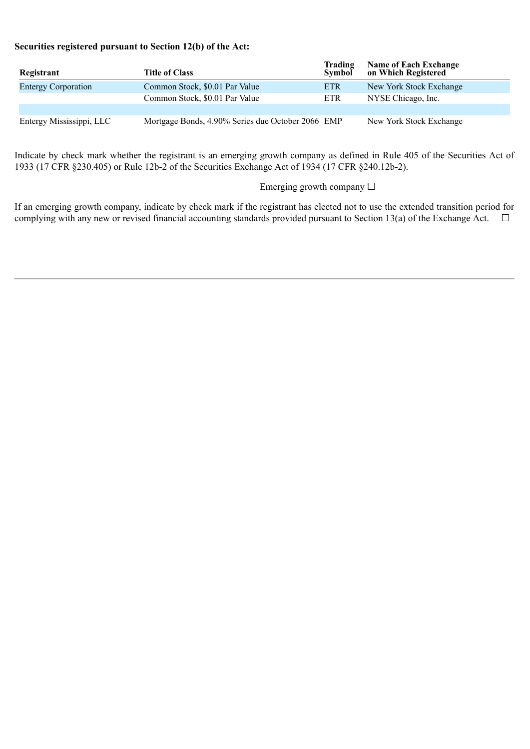# **Securities registered pursuant to Section 12(b) of the Act:**

| Registrant                 | <b>Title of Class</b>                             | <b>Trading</b><br><b>Symbol</b> | <b>Name of Each Exchange</b><br>on Which Registered |
|----------------------------|---------------------------------------------------|---------------------------------|-----------------------------------------------------|
| <b>Entergy Corporation</b> | Common Stock, \$0.01 Par Value                    | <b>ETR</b>                      | New York Stock Exchange                             |
|                            | Common Stock, \$0.01 Par Value                    | <b>ETR</b>                      | NYSE Chicago, Inc.                                  |
|                            |                                                   |                                 |                                                     |
| Entergy Mississippi, LLC   | Mortgage Bonds, 4.90% Series due October 2066 EMP |                                 | New York Stock Exchange                             |

Indicate by check mark whether the registrant is an emerging growth company as defined in Rule 405 of the Securities Act of 1933 (17 CFR §230.405) or Rule 12b-2 of the Securities Exchange Act of 1934 (17 CFR §240.12b-2).

Emerging growth company □

If an emerging growth company, indicate by check mark if the registrant has elected not to use the extended transition period for complying with any new or revised financial accounting standards provided pursuant to Section 13(a) of the Exchange Act.  $\Box$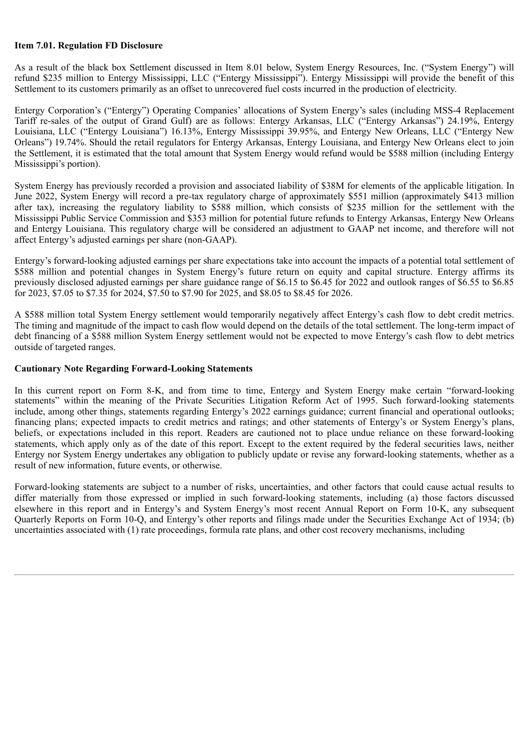## **Item 7.01. Regulation FD Disclosure**

As a result of the black box Settlement discussed in Item 8.01 below, System Energy Resources, Inc. ("System Energy") will refund \$235 million to Entergy Mississippi, LLC ("Entergy Mississippi"). Entergy Mississippi will provide the benefit of this Settlement to its customers primarily as an offset to unrecovered fuel costs incurred in the production of electricity.

Entergy Corporation's ("Entergy") Operating Companies' allocations of System Energy's sales (including MSS-4 Replacement Tariff re-sales of the output of Grand Gulf) are as follows: Entergy Arkansas, LLC ("Entergy Arkansas") 24.19%, Entergy Louisiana, LLC ("Entergy Louisiana") 16.13%, Entergy Mississippi 39.95%, and Entergy New Orleans, LLC ("Entergy New Orleans") 19.74%. Should the retail regulators for Entergy Arkansas, Entergy Louisiana, and Entergy New Orleans elect to join the Settlement, it is estimated that the total amount that System Energy would refund would be \$588 million (including Entergy Mississippi's portion).

System Energy has previously recorded a provision and associated liability of \$38M for elements of the applicable litigation. In June 2022, System Energy will record a pre-tax regulatory charge of approximately \$551 million (approximately \$413 million after tax), increasing the regulatory liability to \$588 million, which consists of \$235 million for the settlement with the Mississippi Public Service Commission and \$353 million for potential future refunds to Entergy Arkansas, Entergy New Orleans and Entergy Louisiana. This regulatory charge will be considered an adjustment to GAAP net income, and therefore will not affect Entergy's adjusted earnings per share (non-GAAP).

Entergy's forward-looking adjusted earnings per share expectations take into account the impacts of a potential total settlement of \$588 million and potential changes in System Energy's future return on equity and capital structure. Entergy affirms its previously disclosed adjusted earnings per share guidance range of \$6.15 to \$6.45 for 2022 and outlook ranges of \$6.55 to \$6.85 for 2023, \$7.05 to \$7.35 for 2024, \$7.50 to \$7.90 for 2025, and \$8.05 to \$8.45 for 2026.

A \$588 million total System Energy settlement would temporarily negatively affect Entergy's cash flow to debt credit metrics. The timing and magnitude of the impact to cash flow would depend on the details of the total settlement. The long-term impact of debt financing of a \$588 million System Energy settlement would not be expected to move Entergy's cash flow to debt metrics outside of targeted ranges.

#### **Cautionary Note Regarding Forward-Looking Statements**

In this current report on Form 8-K, and from time to time, Entergy and System Energy make certain "forward-looking statements" within the meaning of the Private Securities Litigation Reform Act of 1995. Such forward-looking statements include, among other things, statements regarding Entergy's 2022 earnings guidance; current financial and operational outlooks; financing plans; expected impacts to credit metrics and ratings; and other statements of Entergy's or System Energy's plans, beliefs, or expectations included in this report. Readers are cautioned not to place undue reliance on these forward-looking statements, which apply only as of the date of this report. Except to the extent required by the federal securities laws, neither Entergy nor System Energy undertakes any obligation to publicly update or revise any forward-looking statements, whether as a result of new information, future events, or otherwise.

Forward-looking statements are subject to a number of risks, uncertainties, and other factors that could cause actual results to differ materially from those expressed or implied in such forward-looking statements, including (a) those factors discussed elsewhere in this report and in Entergy's and System Energy's most recent Annual Report on Form 10-K, any subsequent Quarterly Reports on Form 10-Q, and Entergy's other reports and filings made under the Securities Exchange Act of 1934; (b) uncertainties associated with (1) rate proceedings, formula rate plans, and other cost recovery mechanisms, including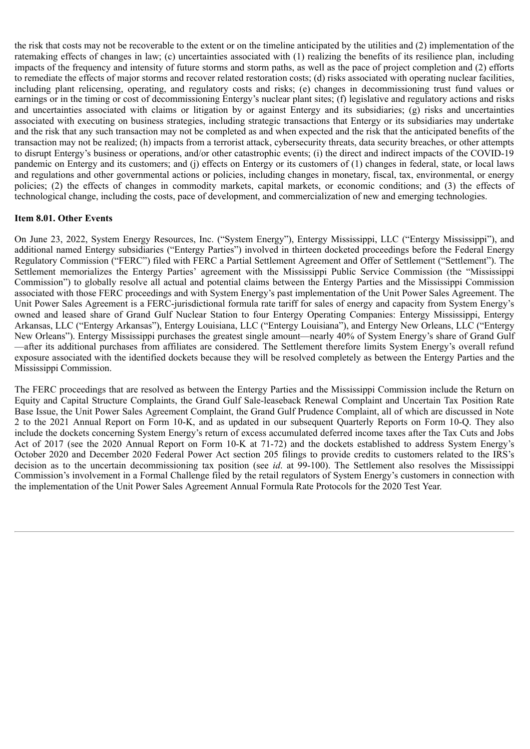the risk that costs may not be recoverable to the extent or on the timeline anticipated by the utilities and (2) implementation of the ratemaking effects of changes in law; (c) uncertainties associated with (1) realizing the benefits of its resilience plan, including impacts of the frequency and intensity of future storms and storm paths, as well as the pace of project completion and (2) efforts to remediate the effects of major storms and recover related restoration costs; (d) risks associated with operating nuclear facilities, including plant relicensing, operating, and regulatory costs and risks; (e) changes in decommissioning trust fund values or earnings or in the timing or cost of decommissioning Entergy's nuclear plant sites; (f) legislative and regulatory actions and risks and uncertainties associated with claims or litigation by or against Entergy and its subsidiaries; (g) risks and uncertainties associated with executing on business strategies, including strategic transactions that Entergy or its subsidiaries may undertake and the risk that any such transaction may not be completed as and when expected and the risk that the anticipated benefits of the transaction may not be realized; (h) impacts from a terrorist attack, cybersecurity threats, data security breaches, or other attempts to disrupt Entergy's business or operations, and/or other catastrophic events; (i) the direct and indirect impacts of the COVID-19 pandemic on Entergy and its customers; and (j) effects on Entergy or its customers of (1) changes in federal, state, or local laws and regulations and other governmental actions or policies, including changes in monetary, fiscal, tax, environmental, or energy policies; (2) the effects of changes in commodity markets, capital markets, or economic conditions; and (3) the effects of technological change, including the costs, pace of development, and commercialization of new and emerging technologies.

# **Item 8.01. Other Events**

On June 23, 2022, System Energy Resources, Inc. ("System Energy"), Entergy Mississippi, LLC ("Entergy Mississippi"), and additional named Entergy subsidiaries ("Entergy Parties") involved in thirteen docketed proceedings before the Federal Energy Regulatory Commission ("FERC") filed with FERC a Partial Settlement Agreement and Offer of Settlement ("Settlement"). The Settlement memorializes the Entergy Parties' agreement with the Mississippi Public Service Commission (the "Mississippi Commission") to globally resolve all actual and potential claims between the Entergy Parties and the Mississippi Commission associated with those FERC proceedings and with System Energy's past implementation of the Unit Power Sales Agreement. The Unit Power Sales Agreement is a FERC-jurisdictional formula rate tariff for sales of energy and capacity from System Energy's owned and leased share of Grand Gulf Nuclear Station to four Entergy Operating Companies: Entergy Mississippi, Entergy Arkansas, LLC ("Entergy Arkansas"), Entergy Louisiana, LLC ("Entergy Louisiana"), and Entergy New Orleans, LLC ("Entergy New Orleans"). Entergy Mississippi purchases the greatest single amount—nearly 40% of System Energy's share of Grand Gulf —after its additional purchases from affiliates are considered. The Settlement therefore limits System Energy's overall refund exposure associated with the identified dockets because they will be resolved completely as between the Entergy Parties and the Mississippi Commission.

The FERC proceedings that are resolved as between the Entergy Parties and the Mississippi Commission include the Return on Equity and Capital Structure Complaints, the Grand Gulf Sale-leaseback Renewal Complaint and Uncertain Tax Position Rate Base Issue, the Unit Power Sales Agreement Complaint, the Grand Gulf Prudence Complaint, all of which are discussed in Note 2 to the 2021 Annual Report on Form 10-K, and as updated in our subsequent Quarterly Reports on Form 10-Q. They also include the dockets concerning System Energy's return of excess accumulated deferred income taxes after the Tax Cuts and Jobs Act of 2017 (see the 2020 Annual Report on Form 10-K at 71-72) and the dockets established to address System Energy's October 2020 and December 2020 Federal Power Act section 205 filings to provide credits to customers related to the IRS's decision as to the uncertain decommissioning tax position (see *id.* at 99-100). The Settlement also resolves the Mississippi Commission's involvement in a Formal Challenge filed by the retail regulators of System Energy's customers in connection with the implementation of the Unit Power Sales Agreement Annual Formula Rate Protocols for the 2020 Test Year.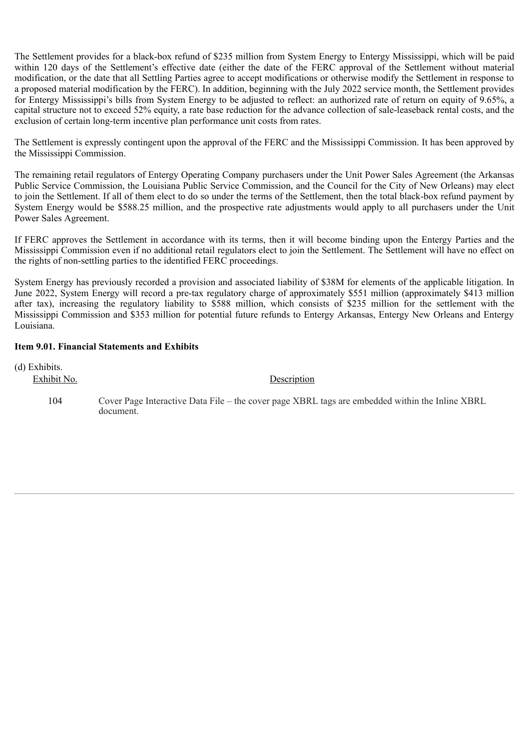The Settlement provides for a black-box refund of \$235 million from System Energy to Entergy Mississippi, which will be paid within 120 days of the Settlement's effective date (either the date of the FERC approval of the Settlement without material modification, or the date that all Settling Parties agree to accept modifications or otherwise modify the Settlement in response to a proposed material modification by the FERC). In addition, beginning with the July 2022 service month, the Settlement provides for Entergy Mississippi's bills from System Energy to be adjusted to reflect: an authorized rate of return on equity of 9.65%, a capital structure not to exceed 52% equity, a rate base reduction for the advance collection of sale-leaseback rental costs, and the exclusion of certain long-term incentive plan performance unit costs from rates.

The Settlement is expressly contingent upon the approval of the FERC and the Mississippi Commission. It has been approved by the Mississippi Commission.

The remaining retail regulators of Entergy Operating Company purchasers under the Unit Power Sales Agreement (the Arkansas Public Service Commission, the Louisiana Public Service Commission, and the Council for the City of New Orleans) may elect to join the Settlement. If all of them elect to do so under the terms of the Settlement, then the total black-box refund payment by System Energy would be \$588.25 million, and the prospective rate adjustments would apply to all purchasers under the Unit Power Sales Agreement.

If FERC approves the Settlement in accordance with its terms, then it will become binding upon the Entergy Parties and the Mississippi Commission even if no additional retail regulators elect to join the Settlement. The Settlement will have no effect on the rights of non-settling parties to the identified FERC proceedings.

System Energy has previously recorded a provision and associated liability of \$38M for elements of the applicable litigation. In June 2022, System Energy will record a pre-tax regulatory charge of approximately \$551 million (approximately \$413 million after tax), increasing the regulatory liability to \$588 million, which consists of \$235 million for the settlement with the Mississippi Commission and \$353 million for potential future refunds to Entergy Arkansas, Entergy New Orleans and Entergy Louisiana.

# **Item 9.01. Financial Statements and Exhibits**

(d) Exhibits.

Exhibit No. Description

104 Cover Page Interactive Data File – the cover page XBRL tags are embedded within the Inline XBRL document.